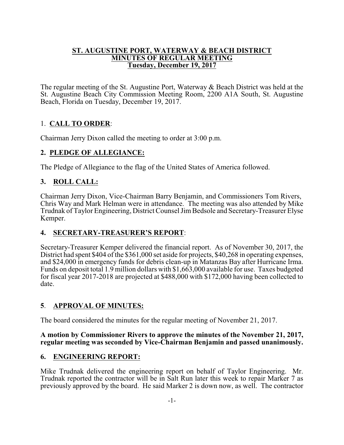#### **ST. AUGUSTINE PORT, WATERWAY & BEACH DISTRICT MINUTES OF REGULAR MEETING Tuesday, December 19, 2017**

The regular meeting of the St. Augustine Port, Waterway & Beach District was held at the St. Augustine Beach City Commission Meeting Room, 2200 A1A South, St. Augustine Beach, Florida on Tuesday, December 19, 2017.

# 1. **CALL TO ORDER**:

Chairman Jerry Dixon called the meeting to order at 3:00 p.m.

# **2. PLEDGE OF ALLEGIANCE:**

The Pledge of Allegiance to the flag of the United States of America followed.

# **3. ROLL CALL:**

Chairman Jerry Dixon, Vice-Chairman Barry Benjamin, and Commissioners Tom Rivers, Chris Way and Mark Helman were in attendance. The meeting was also attended by Mike Trudnak of Taylor Engineering, District Counsel JimBedsole and Secretary-Treasurer Elyse Kemper.

# **4. SECRETARY-TREASURER'S REPORT**:

Secretary-Treasurer Kemper delivered the financial report. As of November 30, 2017, the District had spent \$404 of the \$361,000 set aside for projects, \$40,268 in operating expenses, and \$24,000 in emergency funds for debris clean-up in Matanzas Bay after Hurricane Irma. Funds on deposit total 1.9 million dollars with \$1,663,000 available for use. Taxes budgeted for fiscal year 2017-2018 are projected at \$488,000 with \$172,000 having been collected to date.

# **5**. **APPROVAL OF MINUTES:**

The board considered the minutes for the regular meeting of November 21, 2017.

#### **A motion by Commissioner Rivers to approve the minutes of the November 21, 2017, regular meeting was seconded by Vice-Chairman Benjamin and passed unanimously.**

### **6. ENGINEERING REPORT:**

Mike Trudnak delivered the engineering report on behalf of Taylor Engineering. Mr. Trudnak reported the contractor will be in Salt Run later this week to repair Marker 7 as previously approved by the board. He said Marker 2 is down now, as well. The contractor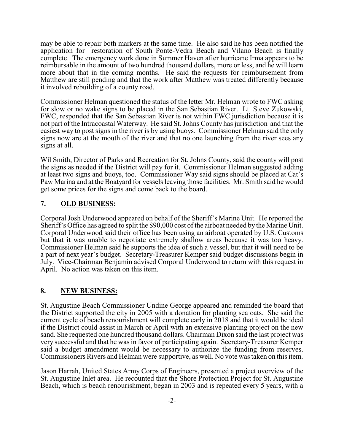may be able to repair both markers at the same time. He also said he has been notified the application for restoration of South Ponte-Vedra Beach and Vilano Beach is finally complete. The emergency work done in Summer Haven after hurricane Irma appears to be reimbursable in the amount of two hundred thousand dollars, more or less, and he will learn more about that in the coming months. He said the requests for reimbursement from Matthew are still pending and that the work after Matthew was treated differently because it involved rebuilding of a county road.

Commissioner Helman questioned the status of the letter Mr. Helman wrote to FWC asking for slow or no wake signs to be placed in the San Sebastian River. Lt. Steve Zukowski, FWC, responded that the San Sebastian River is not within FWC jurisdiction because it is not part of the Intracoastal Waterway. He said St. Johns County has jurisdiction and that the easiest way to post signs in the river is by using buoys. Commissioner Helman said the only signs now are at the mouth of the river and that no one launching from the river sees any signs at all.

Wil Smith, Director of Parks and Recreation for St. Johns County, said the county will post the signs as needed if the District will pay for it. Commissioner Helman suggested adding at least two signs and buoys, too. Commissioner Way said signs should be placed at Cat's Paw Marina and at the Boatyard for vessels leaving those facilities. Mr. Smith said he would get some prices for the signs and come back to the board.

### **7. OLD BUSINESS:**

Corporal Josh Underwood appeared on behalf of the Sheriff's Marine Unit. He reported the Sheriff's Office has agreed to split the \$90,000 cost of the airboat needed by the Marine Unit. Corporal Underwood said their office has been using an airboat operated by U.S. Customs but that it was unable to negotiate extremely shallow areas because it was too heavy. Commissioner Helman said he supports the idea of such a vessel, but that it will need to be a part of next year's budget. Secretary-Treasurer Kemper said budget discussions begin in July. Vice-Chairman Benjamin advised Corporal Underwood to return with this request in April. No action was taken on this item.

### **8. NEW BUSINESS:**

St. Augustine Beach Commissioner Undine George appeared and reminded the board that the District supported the city in 2005 with a donation for planting sea oats. She said the current cycle of beach renourishment will complete early in 2018 and that it would be ideal if the District could assist in March or April with an extensive planting project on the new sand. She requested one hundred thousand dollars. Chairman Dixon said the last project was very successful and that he was in favor of participating again. Secretary-Treasurer Kemper said a budget amendment would be necessary to authorize the funding from reserves. Commissioners Rivers and Helman were supportive, as well. No vote was taken on this item.

Jason Harrah, United States Army Corps of Engineers, presented a project overview of the St. Augustine Inlet area. He recounted that the Shore Protection Project for St. Augustine Beach, which is beach renourishment, began in 2003 and is repeated every 5 years, with a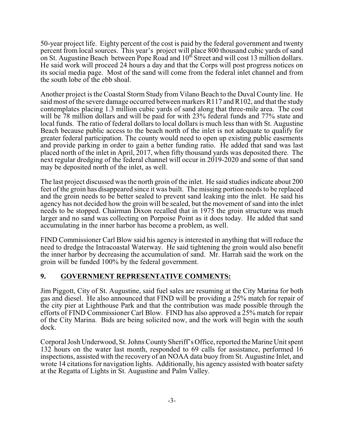50-year project life. Eighty percent of the cost is paid by the federal government and twenty percent from local sources. This year's project will place 800 thousand cubic yards of sand on St. Augustine Beach between Pope Road and 10<sup>th</sup> Street and will cost 13 million dollars. He said work will proceed 24 hours a day and that the Corps will post progress notices on its social media page. Most of the sand will come from the federal inlet channel and from the south lobe of the ebb shoal.

Another project is the Coastal Storm Study from Vilano Beach to the Duval County line. He said most of the severe damage occurred between markers R117 and R102, and that the study contemplates placing 1.3 million cubic yards of sand along that three-mile area. The cost will be 78 million dollars and will be paid for with 23% federal funds and 77% state and local funds. The ratio of federal dollars to local dollars is much less than with St. Augustine Beach because public access to the beach north of the inlet is not adequate to qualify for greater federal participation. The county would need to open up existing public easements and provide parking in order to gain a better funding ratio. He added that sand was last placed north of the inlet in April, 2017, when fifty thousand yards was deposited there. The next regular dredging of the federal channel will occur in 2019-2020 and some of that sand may be deposited north of the inlet, as well.

The last project discussed was the north groin of the inlet. He said studies indicate about 200 feet of the groin has disappeared since it was built. The missing portion needs to be replaced and the groin needs to be better sealed to prevent sand leaking into the inlet. He said his agency has not decided how the groin will be sealed, but the movement of sand into the inlet needs to be stopped. Chairman Dixon recalled that in 1975 the groin structure was much larger and no sand was collecting on Porpoise Point as it does today. He added that sand accumulating in the inner harbor has become a problem, as well.

FIND Commissioner Carl Blow said his agency is interested in anything that will reduce the need to dredge the Intracoastal Waterway. He said tightening the groin would also benefit the inner harbor by decreasing the accumulation of sand. Mr. Harrah said the work on the groin will be funded 100% by the federal government.

### **9. GOVERNMENT REPRESENTATIVE COMMENTS:**

Jim Piggott, City of St. Augustine, said fuel sales are resuming at the City Marina for both gas and diesel. He also announced that FIND will be providing a 25% match for repair of the city pier at Lighthouse Park and that the contribution was made possible through the efforts of FIND Commissioner Carl Blow. FIND has also approved a 25% match for repair of the City Marina. Bids are being solicited now, and the work will begin with the south dock.

Corporal Josh Underwood, St. Johns CountySheriff's Office, reported the Marine Unit spent 132 hours on the water last month, responded to 69 calls for assistance, performed 16 inspections, assisted with the recovery of an NOAA data buoy from St. Augustine Inlet, and wrote 14 citations for navigation lights. Additionally, his agency assisted with boater safety at the Regatta of Lights in St. Augustine and Palm Valley.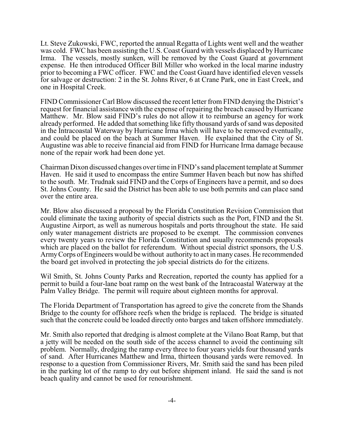Lt. Steve Zukowski, FWC, reported the annual Regatta of Lights went well and the weather was cold. FWC has been assisting the U.S. Coast Guard with vessels displaced by Hurricane Irma. The vessels, mostly sunken, will be removed by the Coast Guard at government expense. He then introduced Officer Bill Miller who worked in the local marine industry prior to becoming a FWC officer. FWC and the Coast Guard have identified eleven vessels for salvage or destruction: 2 in the St. Johns River, 6 at Crane Park, one in East Creek, and one in Hospital Creek.

FIND Commissioner Carl Blow discussed the recent letter from FIND denying the District's request for financial assistance with the expense of repairing the breach caused by Hurricane Matthew. Mr. Blow said FIND's rules do not allow it to reimburse an agency for work already performed. He added that something like fifty thousand yards of sand was deposited in the Intracoastal Waterway by Hurricane Irma which will have to be removed eventually, and could be placed on the beach at Summer Haven. He explained that the City of St. Augustine was able to receive financial aid from FIND for Hurricane Irma damage because none of the repair work had been done yet.

Chairman Dixon discussed changes over time in FIND's sand placement template at Summer Haven. He said it used to encompass the entire Summer Haven beach but now has shifted to the south. Mr. Trudnak said FIND and the Corps of Engineers have a permit, and so does St. Johns County. He said the District has been able to use both permits and can place sand over the entire area.

Mr. Blow also discussed a proposal by the Florida Constitution Revision Commission that could eliminate the taxing authority of special districts such as the Port, FIND and the St. Augustine Airport, as well as numerous hospitals and ports throughout the state. He said only water management districts are proposed to be exempt. The commission convenes every twenty years to review the Florida Constitution and usually recommends proposals which are placed on the ballot for referendum. Without special district sponsors, the U.S. ArmyCorps of Engineers would be without authority to act in many cases. He recommended the board get involved in protecting the job special districts do for the citizens.

Wil Smith, St. Johns County Parks and Recreation, reported the county has applied for a permit to build a four-lane boat ramp on the west bank of the Intracoastal Waterway at the Palm Valley Bridge. The permit will require about eighteen months for approval.

The Florida Department of Transportation has agreed to give the concrete from the Shands Bridge to the county for offshore reefs when the bridge is replaced. The bridge is situated such that the concrete could be loaded directly onto barges and taken offshore immediately.

Mr. Smith also reported that dredging is almost complete at the Vilano Boat Ramp, but that a jetty will be needed on the south side of the access channel to avoid the continuing silt problem. Normally, dredging the ramp every three to four years yields four thousand yards of sand. After Hurricanes Matthew and Irma, thirteen thousand yards were removed. In response to a question from Commissioner Rivers, Mr. Smith said the sand has been piled in the parking lot of the ramp to dry out before shipment inland. He said the sand is not beach quality and cannot be used for renourishment.